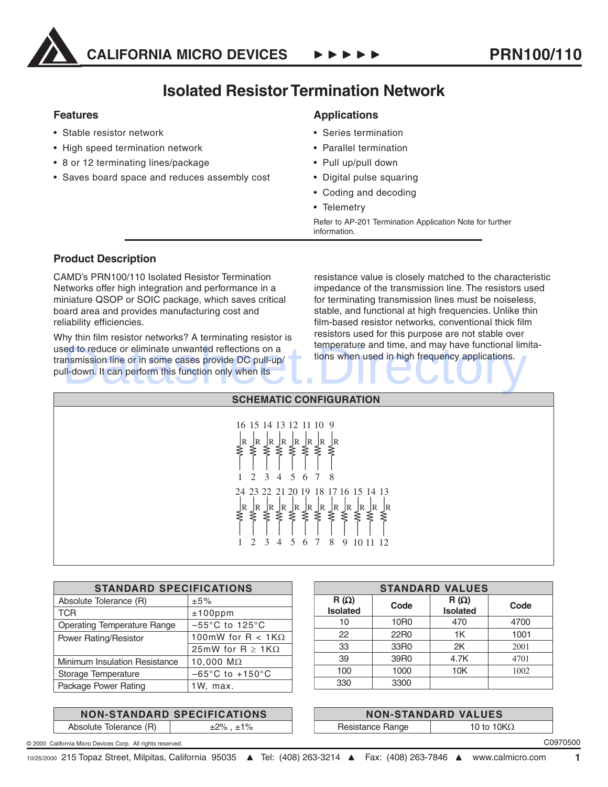

## **Isolated Resistor Termination Network**

#### **Features**

- Stable resistor network
- High speed termination network
- 8 or 12 terminating lines/package
- Saves board space and reduces assembly cost

### **Applications**

- Series termination
- Parallel termination
- Pull up/pull down
- Digital pulse squaring
- Coding and decoding
- Telemetry

Refer to AP-201 Termination Application Note for further information.

### **Product Description**

CAMD's PRN100/110 Isolated Resistor Termination Networks offer high integration and performance in a miniature QSOP or SOIC package, which saves critical board area and provides manufacturing cost and reliability efficiencies.

Why thin film resistor networks? A terminating resistor is used to reduce or eliminate unwanted reflections on a transmission line or in some cases provide DC pull-up/ pull-down. It can perform this function only when its ed to reduce or eliminate unwanted reflections on a<br>Insmission line or in some cases provide DC pull-up/<br>Ill-down. It can perform this function only when its

resistance value is closely matched to the characteristic impedance of the transmission line. The resistors used for terminating transmission lines must be noiseless, stable, and functional at high frequencies. Unlike thin film-based resistor networks, conventional thick film resistors used for this purpose are not stable over temperature and time, and may have functional limitations when used in high frequency applications.

| <b>SCHEMATIC CONFIGURATION</b>                                                                                                                                                                                                                           |  |  |  |  |
|----------------------------------------------------------------------------------------------------------------------------------------------------------------------------------------------------------------------------------------------------------|--|--|--|--|
| 16 15 14 13 12 11 10 9<br>:  R  R  R<br>≷ ≷ ≷ ∶<br>$\bigg\{^R}$<br>$\bigg\{^R}$<br>$\begin{array}{c} \n\sqrt{R} \\ \leq \n\end{array}$<br>⋚<br>ξ<br>3 <sup>3</sup><br>5 6 7 8<br>$\overline{2}$<br>$\overline{4}$<br>24 23 22 21 20 19 18 17 16 15 14 13 |  |  |  |  |
| $\mathbb R$<br> R<br>$\bigg\{\n\infty$<br>$\bigg\{$ R<br>$\bigg\{\n\infty$<br>$\bigg\{$ R<br>JR<br>JR<br>$\bigg\{^R}$<br>ξ<br>⋚<br>⋛<br>≽<br>≋<br>⋛<br>⋛<br>6 7<br>$\mathcal{E}$<br>5<br>8<br>$\overline{2}$<br>9 10 11 12<br>$\overline{4}$             |  |  |  |  |

| <b>STANDARD SPECIFICATIONS</b>      |  |  |  |  |
|-------------------------------------|--|--|--|--|
| ±5%                                 |  |  |  |  |
| $±100$ ppm                          |  |  |  |  |
| $-55^{\circ}$ C to 125 $^{\circ}$ C |  |  |  |  |
| 100mW for R < 1K $\Omega$           |  |  |  |  |
| 25mW for R $\geq$ 1K $\Omega$       |  |  |  |  |
| 10,000 $M\Omega$                    |  |  |  |  |
| $-65^{\circ}$ C to $+150^{\circ}$ C |  |  |  |  |
| 1W, max.                            |  |  |  |  |
|                                     |  |  |  |  |

#### **NON-STANDARD SPECIFICATIONS** Absolute Tolerance  $(R)$   $\qquad \qquad \pm 2\%$ ,  $\pm 1\%$

| <b>STANDARD VALUES</b>         |                  |                                |      |  |  |
|--------------------------------|------------------|--------------------------------|------|--|--|
| $R(\Omega)$<br><b>Isolated</b> | Code             | $R(\Omega)$<br><b>Isolated</b> | Code |  |  |
| 10                             | 10 <sub>R0</sub> | 470                            | 4700 |  |  |
| 22                             | 22R0             | 1K                             | 1001 |  |  |
| 33                             | 33R0             | 2K                             | 2001 |  |  |
| 39                             | 39R0             | 4.7K                           | 4701 |  |  |
| 100                            | 1000             | 10K                            | 1002 |  |  |
| 330                            | 3300             |                                |      |  |  |

| <b>NON-STANDARD VALUES</b> |                    |  |  |
|----------------------------|--------------------|--|--|
| Resistance Range           | 10 to 10 $K\Omega$ |  |  |

C0970500

© 2000 California Micro Devices Corp. All rights reserved.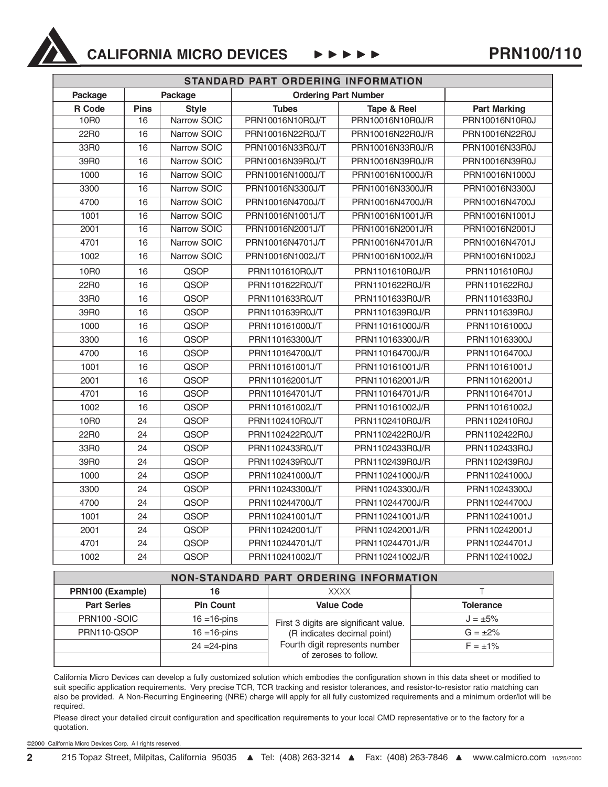

## **CALIFORNIA MICRO DEVICES**  $\rightarrow \rightarrow \rightarrow \rightarrow \rightarrow$  PRN100/110

| STANDARD PART ORDERING INFORMATION |                 |              |                             |                  |                     |
|------------------------------------|-----------------|--------------|-----------------------------|------------------|---------------------|
| Package                            |                 | Package      | <b>Ordering Part Number</b> |                  |                     |
| R Code                             | <b>Pins</b>     | <b>Style</b> | <b>Tubes</b>                | Tape & Reel      | <b>Part Marking</b> |
| 10R0                               | $\overline{16}$ | Narrow SOIC  | PRN10016N10R0J/T            | PRN10016N10R0J/R | PRN10016N10R0J      |
| 22R0                               | $\overline{16}$ | Narrow SOIC  | PRN10016N22R0J/T            | PRN10016N22R0J/R | PRN10016N22R0J      |
| 33R0                               | 16              | Narrow SOIC  | PRN10016N33R0J/T            | PRN10016N33R0J/R | PRN10016N33R0J      |
| 39R0                               | $\overline{16}$ | Narrow SOIC  | PRN10016N39R0J/T            | PRN10016N39R0J/R | PRN10016N39R0J      |
| 1000                               | 16              | Narrow SOIC  | PRN10016N1000J/T            | PRN10016N1000J/R | PRN10016N1000J      |
| 3300                               | $\overline{16}$ | Narrow SOIC  | PRN10016N3300J/T            | PRN10016N3300J/R | PRN10016N3300J      |
| 4700                               | $\overline{16}$ | Narrow SOIC  | PRN10016N4700J/T            | PRN10016N4700J/R | PRN10016N4700J      |
| 1001                               | $\overline{16}$ | Narrow SOIC  | PRN10016N1001J/T            | PRN10016N1001J/R | PRN10016N1001J      |
| 2001                               | 16              | Narrow SOIC  | PRN10016N2001J/T            | PRN10016N2001J/R | PRN10016N2001J      |
| 4701                               | 16              | Narrow SOIC  | PRN10016N4701J/T            | PRN10016N4701J/R | PRN10016N4701J      |
| 1002                               | 16              | Narrow SOIC  | PRN10016N1002J/T            | PRN10016N1002J/R | PRN10016N1002J      |
| 10R0                               | 16              | QSOP         | PRN1101610R0J/T             | PRN1101610R0J/R  | PRN1101610R0J       |
| 22R0                               | 16              | QSOP         | PRN1101622R0J/T             | PRN1101622R0J/R  | PRN1101622R0J       |
| 33R0                               | 16              | QSOP         | PRN1101633R0J/T             | PRN1101633R0J/R  | PRN1101633R0J       |
| 39R0                               | 16              | QSOP         | PRN1101639R0J/T             | PRN1101639R0J/R  | PRN1101639R0J       |
| 1000                               | 16              | QSOP         | PRN110161000J/T             | PRN110161000J/R  | PRN110161000J       |
| 3300                               | 16              | QSOP         | PRN110163300J/T             | PRN110163300J/R  | PRN110163300J       |
| 4700                               | 16              | QSOP         | PRN110164700J/T             | PRN110164700J/R  | PRN110164700J       |
| 1001                               | 16              | QSOP         | PRN110161001J/T             | PRN110161001J/R  | PRN110161001J       |
| 2001                               | 16              | QSOP         | PRN110162001J/T             | PRN110162001J/R  | PRN110162001J       |
| 4701                               | 16              | QSOP         | PRN110164701J/T             | PRN110164701J/R  | PRN110164701J       |
| 1002                               | 16              | QSOP         | PRN110161002J/T             | PRN110161002J/R  | PRN110161002J       |
| 10R0                               | 24              | QSOP         | PRN1102410R0J/T             | PRN1102410R0J/R  | PRN1102410R0J       |
| 22R0                               | 24              | QSOP         | PRN1102422R0J/T             | PRN1102422R0J/R  | PRN1102422R0J       |
| 33R0                               | 24              | QSOP         | PRN1102433R0J/T             | PRN1102433R0J/R  | PRN1102433R0J       |
| 39R0                               | 24              | QSOP         | PRN1102439R0J/T             | PRN1102439R0J/R  | PRN1102439R0J       |
| 1000                               | 24              | QSOP         | PRN110241000J/T             | PRN110241000J/R  | PRN110241000J       |
| 3300                               | 24              | QSOP         | PRN110243300J/T             | PRN110243300J/R  | PRN110243300J       |
| 4700                               | 24              | QSOP         | PRN110244700J/T             | PRN110244700J/R  | PRN110244700J       |
| 1001                               | 24              | QSOP         | PRN110241001J/T             | PRN110241001J/R  | PRN110241001J       |
| 2001                               | 24              | QSOP         | PRN110242001J/T             | PRN110242001J/R  | PRN110242001J       |
| 4701                               | 24              | QSOP         | PRN110244701J/T             | PRN110244701J/R  | PRN110244701J       |
| 1002                               | 24              | QSOP         | PRN110241002J/T             | PRN110241002J/R  | PRN110241002J       |

| <b>NON-STANDARD PART ORDERING INFORMATION</b> |                  |                                                                                                                                 |                  |  |  |
|-----------------------------------------------|------------------|---------------------------------------------------------------------------------------------------------------------------------|------------------|--|--|
| PRN100 (Example)                              | 16               | <b>XXXX</b>                                                                                                                     |                  |  |  |
| <b>Part Series</b>                            | <b>Pin Count</b> | <b>Value Code</b>                                                                                                               | <b>Tolerance</b> |  |  |
| PRN100-SOIC                                   | $16 = 16 - 5$    | First 3 digits are significant value.<br>(R indicates decimal point)<br>Fourth digit represents number<br>of zeroses to follow. | $J = \pm 5\%$    |  |  |
| PRN110-QSOP                                   | $16 = 16$ -pins  |                                                                                                                                 | $G = \pm 2\%$    |  |  |
|                                               | $24 = 24$ -pins  |                                                                                                                                 | $F = \pm 1\%$    |  |  |
|                                               |                  |                                                                                                                                 |                  |  |  |

California Micro Devices can develop a fully customized solution which embodies the configuration shown in this data sheet or modified to suit specific application requirements. Very precise TCR, TCR tracking and resistor tolerances, and resistor-to-resistor ratio matching can also be provided. A Non-Recurring Engineering (NRE) charge will apply for all fully customized requirements and a minimum order/lot will be required.

Please direct your detailed circuit configuration and specification requirements to your local CMD representative or to the factory for a quotation.

©2000 California Micro Devices Corp. All rights reserved.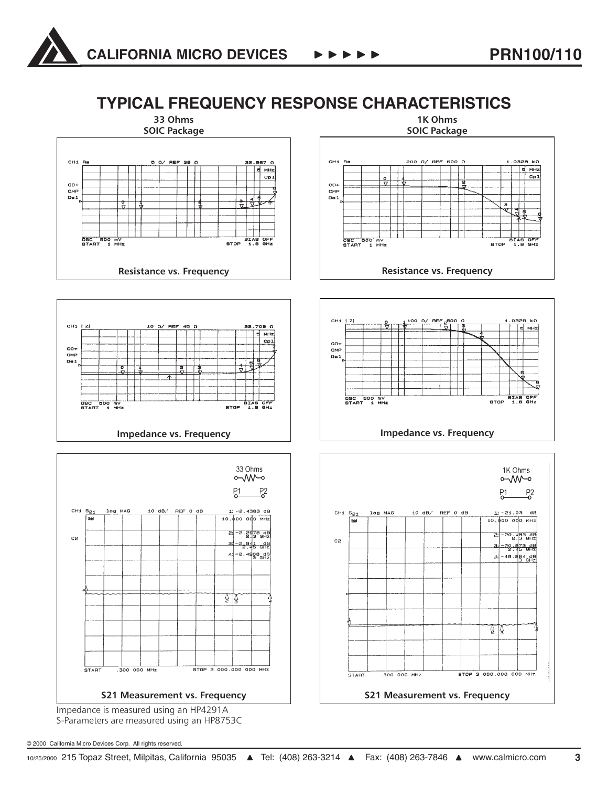



S-Parameters are measured using an HP8753C

© 2000 California Micro Devices Corp. All rights reserved.